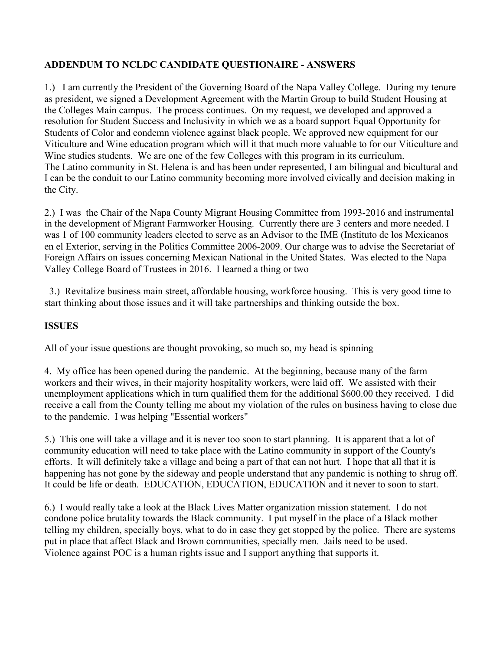## **ADDENDUM TO NCLDC CANDIDATE QUESTIONAIRE - ANSWERS**

1.) I am currently the President of the Governing Board of the Napa Valley College. During my tenure as president, we signed a Development Agreement with the Martin Group to build Student Housing at the Colleges Main campus. The process continues. On my request, we developed and approved a resolution for Student Success and Inclusivity in which we as a board support Equal Opportunity for Students of Color and condemn violence against black people. We approved new equipment for our Viticulture and Wine education program which will it that much more valuable to for our Viticulture and Wine studies students. We are one of the few Colleges with this program in its curriculum. The Latino community in St. Helena is and has been under represented, I am bilingual and bicultural and I can be the conduit to our Latino community becoming more involved civically and decision making in the City.

2.) I was the Chair of the Napa County Migrant Housing Committee from 1993-2016 and instrumental in the development of Migrant Farmworker Housing. Currently there are 3 centers and more needed. I was 1 of 100 community leaders elected to serve as an Advisor to the IME (Instituto de los Mexicanos en el Exterior, serving in the Politics Committee 2006-2009. Our charge was to advise the Secretariat of Foreign Affairs on issues concerning Mexican National in the United States. Was elected to the Napa Valley College Board of Trustees in 2016. I learned a thing or two

 3.) Revitalize business main street, affordable housing, workforce housing. This is very good time to start thinking about those issues and it will take partnerships and thinking outside the box.

## **ISSUES**

All of your issue questions are thought provoking, so much so, my head is spinning

4. My office has been opened during the pandemic. At the beginning, because many of the farm workers and their wives, in their majority hospitality workers, were laid off. We assisted with their unemployment applications which in turn qualified them for the additional \$600.00 they received. I did receive a call from the County telling me about my violation of the rules on business having to close due to the pandemic. I was helping "Essential workers"

5.) This one will take a village and it is never too soon to start planning. It is apparent that a lot of community education will need to take place with the Latino community in support of the County's efforts. It will definitely take a village and being a part of that can not hurt. I hope that all that it is happening has not gone by the sideway and people understand that any pandemic is nothing to shrug off. It could be life or death. EDUCATION, EDUCATION, EDUCATION and it never to soon to start.

6.) I would really take a look at the Black Lives Matter organization mission statement. I do not condone police brutality towards the Black community. I put myself in the place of a Black mother telling my children, specially boys, what to do in case they get stopped by the police. There are systems put in place that affect Black and Brown communities, specially men. Jails need to be used. Violence against POC is a human rights issue and I support anything that supports it.